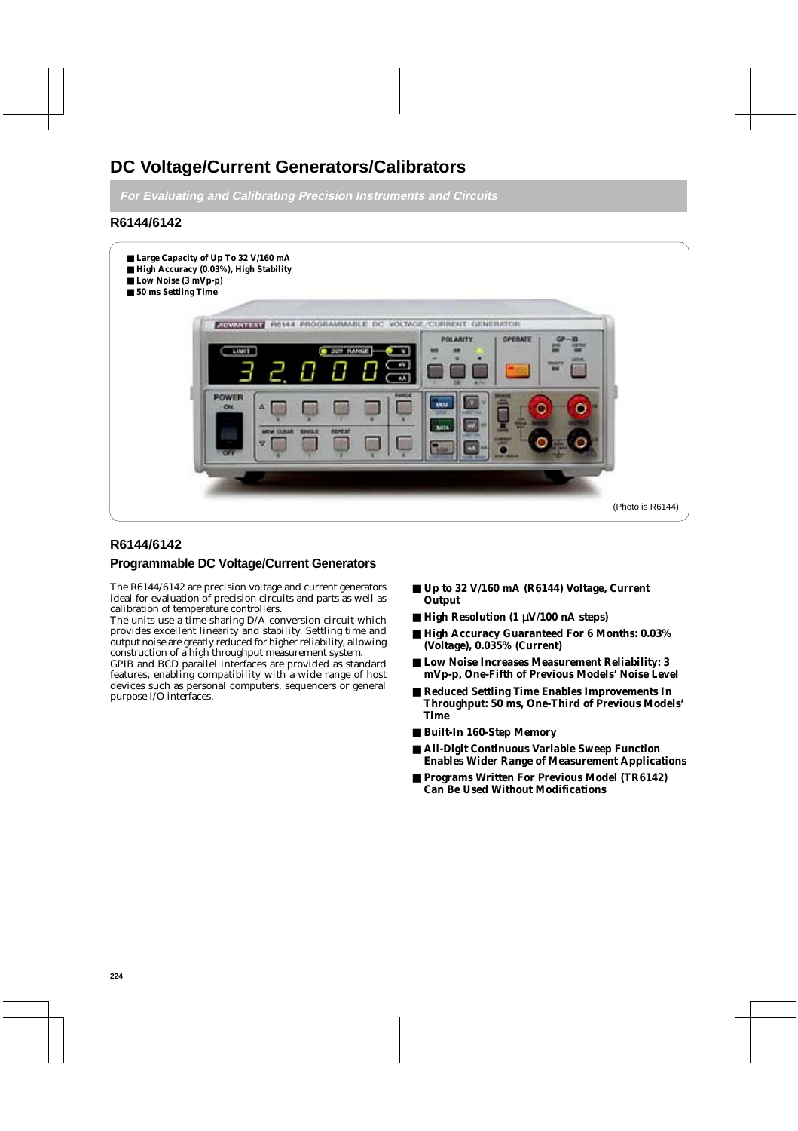# **DC Voltage/Current Generators/Calibrators**

**For Evaluating and Calibrating Precision Instruments and Circuits**

# **R6144/6142**



# **R6144/6142**

# **Programmable DC Voltage/Current Generators**

The R6144/6142 are precision voltage and current generators ideal for evaluation of precision circuits and parts as well as calibration of temperature controllers.

The units use a time-sharing D/A conversion circuit which provides excellent linearity and stability. Settling time and output noise are greatly reduced for higher reliability, allowing construction of a high throughput measurement system.

GPIB and BCD parallel interfaces are provided as standard features, enabling compatibility with a wide range of host devices such as personal computers, sequencers or general purpose I/O interfaces.

- **Up to 32 V/160 mA (R6144) Voltage, Current Output**
- **High Resolution (1** µ**V/100 nA steps)**
- **High Accuracy Guaranteed For 6 Months: 0.03% (Voltage), 0.035% (Current)**
- Low Noise Increases Measurement Reliability: 3 **mVp-p, One-Fifth of Previous Models' Noise Level**
- **Reduced Settling Time Enables Improvements In Throughput: 50 ms, One-Third of Previous Models' Time**
- **Built-In 160-Step Memory**
- **All-Digit Continuous Variable Sweep Function Enables Wider Range of Measurement Applications**
- **Programs Written For Previous Model (TR6142) Can Be Used Without Modifications**